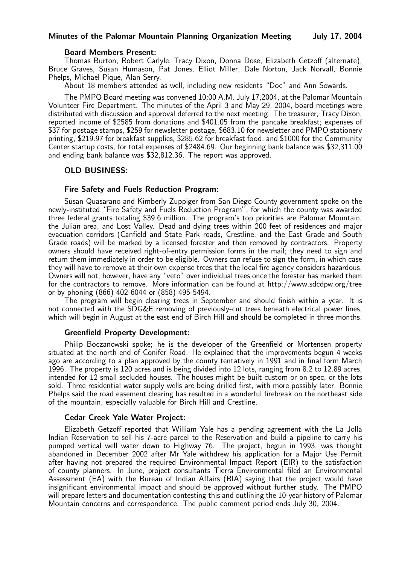#### Minutes of the Palomar Mountain Planning Organization Meeting July 17, 2004

#### Board Members Present:

Thomas Burton, Robert Carlyle, Tracy Dixon, Donna Dose, Elizabeth Getzoff (alternate), Bruce Graves, Susan Humason, Pat Jones, Elliot Miller, Dale Norton, Jack Norvall, Bonnie Phelps, Michael Pique, Alan Serry.

About 18 members attended as well, including new residents "Doc" and Ann Sowards.

The PMPO Board meeting was convened 10:00 A.M. July 17,2004, at the Palomar Mountain Volunteer Fire Department. The minutes of the April 3 and May 29, 2004, board meetings were distributed with discussion and approval deferred to the next meeting. The treasurer, Tracy Dixon, reported income of \$2585 from donations and \$401.05 from the pancake breakfast; expenses of \$37 for postage stamps, \$259 for newsletter postage, \$683.10 for newsletter and PMPO stationery printing, \$219.97 for breakfast supplies, \$285.62 for breakfast food, and \$1000 for the Community Center startup costs, for total expenses of \$2484.69. Our beginning bank balance was \$32,311.00 and ending bank balance was \$32,812.36. The report was approved.

### OLD BUSINESS:

#### Fire Safety and Fuels Reduction Program:

Susan Quasarano and Kimberly Zuppiger from San Diego County government spoke on the newly-instituted "Fire Safety and Fuels Reduction Program", for which the county was awarded three federal grants totaling \$39.6 million. The program's top priorities are Palomar Mountain, the Julian area, and Lost Valley. Dead and dying trees within 200 feet of residences and major evacuation corridors (Canfield and State Park roads, Crestline, and the East Grade and South Grade roads) will be marked by a licensed forester and then removed by contractors. Property owners should have received right-of-entry permission forms in the mail; they need to sign and return them immediately in order to be eligible. Owners can refuse to sign the form, in which case they will have to remove at their own expense trees that the local fire agency considers hazardous. Owners will not, however, have any "veto" over individual trees once the forester has marked them for the contractors to remove. More information can be found at http://www.sdcdpw.org/tree or by phoning (866) 402-6044 or (858) 495-5494.

The program will begin clearing trees in September and should finish within a year. It is not connected with the SDG&E removing of previously-cut trees beneath electrical power lines, which will begin in August at the east end of Birch Hill and should be completed in three months.

#### Greenfield Property Development:

Philip Boczanowski spoke; he is the developer of the Greenfield or Mortensen property situated at the north end of Conifer Road. He explained that the improvements begun 4 weeks ago are according to a plan approved by the county tentatively in 1991 and in final form March 1996. The property is 120 acres and is being divided into 12 lots, ranging from 8.2 to 12.89 acres, intended for 12 small secluded houses. The houses might be built custom or on spec, or the lots sold. Three residential water supply wells are being drilled first, with more possibly later. Bonnie Phelps said the road easement clearing has resulted in a wonderful firebreak on the northeast side of the mountain, especially valuable for Birch Hill and Crestline.

#### Cedar Creek Yale Water Project:

Elizabeth Getzoff reported that William Yale has a pending agreement with the La Jolla Indian Reservation to sell his 7-acre parcel to the Reservation and build a pipeline to carry his pumped vertical well water down to Highway 76. The project, begun in 1993, was thought abandoned in December 2002 after Mr Yale withdrew his application for a Major Use Permit after having not prepared the required Environmental Impact Report (EIR) to the satisfaction of county planners. In June, project consultants Tierra Environmental filed an Environmental Assessment (EA) with the Bureau of Indian Affairs (BIA) saying that the project would have insignificant environmental impact and should be approved without further study. The PMPO will prepare letters and documentation contesting this and outlining the 10-year history of Palomar Mountain concerns and correspondence. The public comment period ends July 30, 2004.